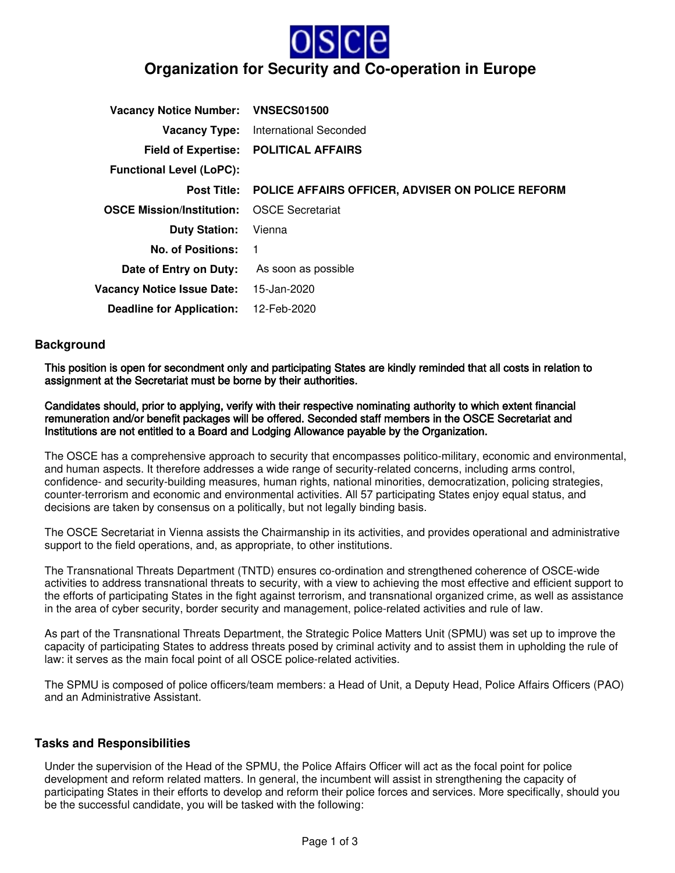

| Vacancy Notice Number: VNSECS01500 |                                                  |
|------------------------------------|--------------------------------------------------|
| <b>Vacancy Type:</b>               | International Seconded                           |
| <b>Field of Expertise:</b>         | <b>POLITICAL AFFAIRS</b>                         |
| <b>Functional Level (LoPC):</b>    |                                                  |
| <b>Post Title:</b>                 | POLICE AFFAIRS OFFICER, ADVISER ON POLICE REFORM |
| <b>OSCE Mission/Institution:</b>   | <b>OSCE Secretariat</b>                          |
| <b>Duty Station:</b>               | Vienna                                           |
| No. of Positions:                  | - 1                                              |
| Date of Entry on Duty:             | As soon as possible                              |
| <b>Vacancy Notice Issue Date:</b>  | 15-Jan-2020                                      |
| <b>Deadline for Application:</b>   | 12-Feb-2020                                      |

## **Background**

This position is open for secondment only and participating States are kindly reminded that all costs in relation to assignment at the Secretariat must be borne by their authorities.

Candidates should, prior to applying, verify with their respective nominating authority to which extent financial remuneration and/or benefit packages will be offered. Seconded staff members in the OSCE Secretariat and Institutions are not entitled to a Board and Lodging Allowance payable by the Organization.

The OSCE has a comprehensive approach to security that encompasses politico-military, economic and environmental, and human aspects. It therefore addresses a wide range of security-related concerns, including arms control, confidence- and security-building measures, human rights, national minorities, democratization, policing strategies, counter-terrorism and economic and environmental activities. All 57 participating States enjoy equal status, and decisions are taken by consensus on a politically, but not legally binding basis.

The OSCE Secretariat in Vienna assists the Chairmanship in its activities, and provides operational and administrative support to the field operations, and, as appropriate, to other institutions.

The Transnational Threats Department (TNTD) ensures co-ordination and strengthened coherence of OSCE-wide activities to address transnational threats to security, with a view to achieving the most effective and efficient support to the efforts of participating States in the fight against terrorism, and transnational organized crime, as well as assistance in the area of cyber security, border security and management, police-related activities and rule of law.

As part of the Transnational Threats Department, the Strategic Police Matters Unit (SPMU) was set up to improve the capacity of participating States to address threats posed by criminal activity and to assist them in upholding the rule of law: it serves as the main focal point of all OSCE police-related activities.

The SPMU is composed of police officers/team members: a Head of Unit, a Deputy Head, Police Affairs Officers (PAO) and an Administrative Assistant.

## **Tasks and Responsibilities**

Under the supervision of the Head of the SPMU, the Police Affairs Officer will act as the focal point for police development and reform related matters. In general, the incumbent will assist in strengthening the capacity of participating States in their efforts to develop and reform their police forces and services. More specifically, should you be the successful candidate, you will be tasked with the following: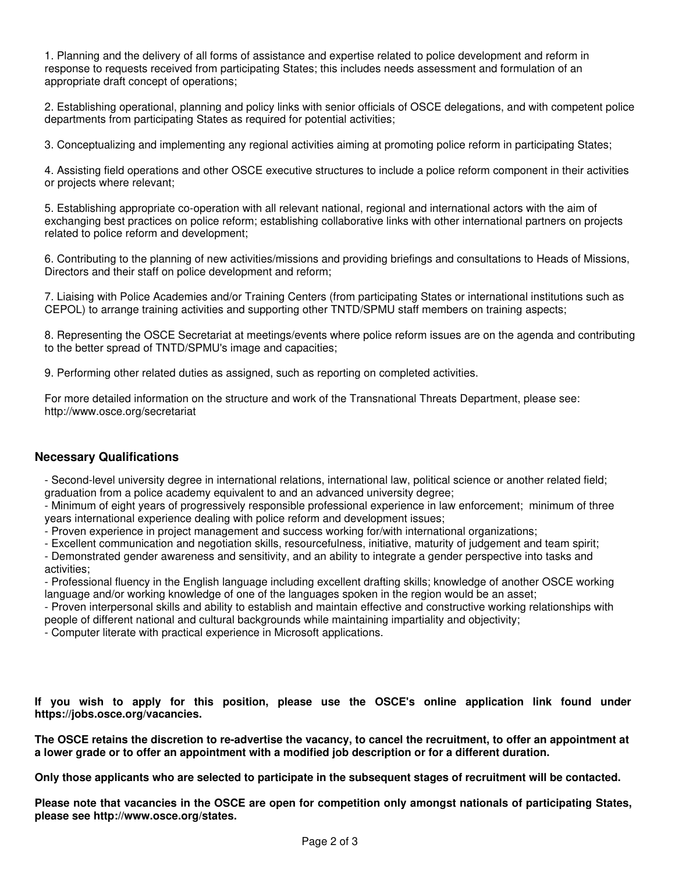1. Planning and the delivery of all forms of assistance and expertise related to police development and reform in response to requests received from participating States; this includes needs assessment and formulation of an appropriate draft concept of operations;

2. Establishing operational, planning and policy links with senior officials of OSCE delegations, and with competent police departments from participating States as required for potential activities;

3. Conceptualizing and implementing any regional activities aiming at promoting police reform in participating States;

4. Assisting field operations and other OSCE executive structures to include a police reform component in their activities or projects where relevant;

5. Establishing appropriate co-operation with all relevant national, regional and international actors with the aim of exchanging best practices on police reform; establishing collaborative links with other international partners on projects related to police reform and development;

6. Contributing to the planning of new activities/missions and providing briefings and consultations to Heads of Missions, Directors and their staff on police development and reform;

7. Liaising with Police Academies and/or Training Centers (from participating States or international institutions such as CEPOL) to arrange training activities and supporting other TNTD/SPMU staff members on training aspects;

8. Representing the OSCE Secretariat at meetings/events where police reform issues are on the agenda and contributing to the better spread of TNTD/SPMU's image and capacities;

9. Performing other related duties as assigned, such as reporting on completed activities.

For more detailed information on the structure and work of the Transnational Threats Department, please see: http://www.osce.org/secretariat

## **Necessary Qualifications**

- Second-level university degree in international relations, international law, political science or another related field; graduation from a police academy equivalent to and an advanced university degree;

- Minimum of eight years of progressively responsible professional experience in law enforcement; minimum of three years international experience dealing with police reform and development issues;

- Proven experience in project management and success working for/with international organizations;

- Excellent communication and negotiation skills, resourcefulness, initiative, maturity of judgement and team spirit;

- Demonstrated gender awareness and sensitivity, and an ability to integrate a gender perspective into tasks and activities;

- Professional fluency in the English language including excellent drafting skills; knowledge of another OSCE working language and/or working knowledge of one of the languages spoken in the region would be an asset;

- Proven interpersonal skills and ability to establish and maintain effective and constructive working relationships with people of different national and cultural backgrounds while maintaining impartiality and objectivity;

- Computer literate with practical experience in Microsoft applications.

**If you wish to apply for this position, please use the OSCE's online application link found under https://jobs.osce.org/vacancies.**

**The OSCE retains the discretion to re-advertise the vacancy, to cancel the recruitment, to offer an appointment at a lower grade or to offer an appointment with a modified job description or for a different duration.**

**Only those applicants who are selected to participate in the subsequent stages of recruitment will be contacted.**

**Please note that vacancies in the OSCE are open for competition only amongst nationals of participating States, please see http://www.osce.org/states.**